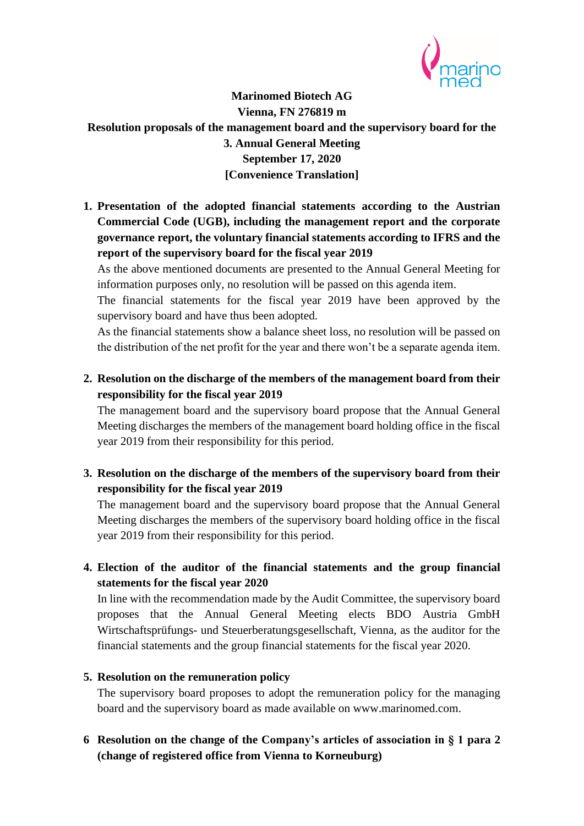

**Marinomed Biotech AG Vienna, FN 276819 m Resolution proposals of the management board and the supervisory board for the 3. Annual General Meeting September 17, 2020 [Convenience Translation]**

**1. Presentation of the adopted financial statements according to the Austrian Commercial Code (UGB), including the management report and the corporate governance report, the voluntary financial statements according to IFRS and the report of the supervisory board for the fiscal year 2019**

As the above mentioned documents are presented to the Annual General Meeting for information purposes only, no resolution will be passed on this agenda item.

The financial statements for the fiscal year 2019 have been approved by the supervisory board and have thus been adopted.

As the financial statements show a balance sheet loss, no resolution will be passed on the distribution of the net profit for the year and there won't be a separate agenda item.

**2. Resolution on the discharge of the members of the management board from their responsibility for the fiscal year 2019**

The management board and the supervisory board propose that the Annual General Meeting discharges the members of the management board holding office in the fiscal year 2019 from their responsibility for this period.

**3. Resolution on the discharge of the members of the supervisory board from their responsibility for the fiscal year 2019**

The management board and the supervisory board propose that the Annual General Meeting discharges the members of the supervisory board holding office in the fiscal year 2019 from their responsibility for this period.

**4. Election of the auditor of the financial statements and the group financial statements for the fiscal year 2020**

In line with the recommendation made by the Audit Committee, the supervisory board proposes that the Annual General Meeting elects BDO Austria GmbH Wirtschaftsprüfungs- und Steuerberatungsgesellschaft, Vienna, as the auditor for the financial statements and the group financial statements for the fiscal year 2020.

## **5. Resolution on the remuneration policy**

The supervisory board proposes to adopt the remuneration policy for the managing board and the supervisory board as made available on www.marinomed.com.

**6 Resolution on the change of the Company's articles of association in § 1 para 2 (change of registered office from Vienna to Korneuburg)**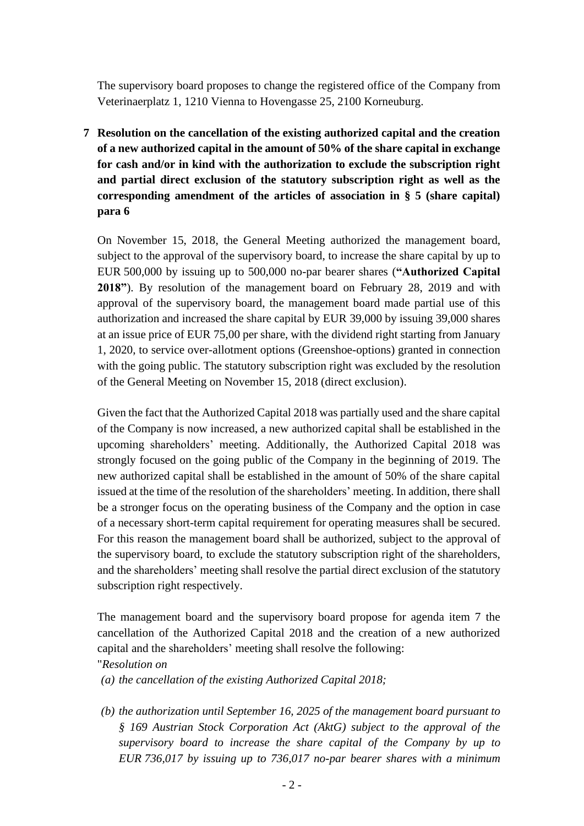The supervisory board proposes to change the registered office of the Company from Veterinaerplatz 1, 1210 Vienna to Hovengasse 25, 2100 Korneuburg.

**7 Resolution on the cancellation of the existing authorized capital and the creation of a new authorized capital in the amount of 50% of the share capital in exchange for cash and/or in kind with the authorization to exclude the subscription right and partial direct exclusion of the statutory subscription right as well as the corresponding amendment of the articles of association in § 5 (share capital) para 6**

On November 15, 2018, the General Meeting authorized the management board, subject to the approval of the supervisory board, to increase the share capital by up to EUR 500,000 by issuing up to 500,000 no-par bearer shares (**"Authorized Capital 2018"**). By resolution of the management board on February 28, 2019 and with approval of the supervisory board, the management board made partial use of this authorization and increased the share capital by EUR 39,000 by issuing 39,000 shares at an issue price of EUR 75,00 per share, with the dividend right starting from January 1, 2020, to service over-allotment options (Greenshoe-options) granted in connection with the going public. The statutory subscription right was excluded by the resolution of the General Meeting on November 15, 2018 (direct exclusion).

Given the fact that the Authorized Capital 2018 was partially used and the share capital of the Company is now increased, a new authorized capital shall be established in the upcoming shareholders' meeting. Additionally, the Authorized Capital 2018 was strongly focused on the going public of the Company in the beginning of 2019. The new authorized capital shall be established in the amount of 50% of the share capital issued at the time of the resolution of the shareholders' meeting. In addition, there shall be a stronger focus on the operating business of the Company and the option in case of a necessary short-term capital requirement for operating measures shall be secured. For this reason the management board shall be authorized, subject to the approval of the supervisory board, to exclude the statutory subscription right of the shareholders, and the shareholders' meeting shall resolve the partial direct exclusion of the statutory subscription right respectively.

The management board and the supervisory board propose for agenda item 7 the cancellation of the Authorized Capital 2018 and the creation of a new authorized capital and the shareholders' meeting shall resolve the following: "*Resolution on*

*(a) the cancellation of the existing Authorized Capital 2018;*

*(b) the authorization until September 16, 2025 of the management board pursuant to § 169 Austrian Stock Corporation Act (AktG) subject to the approval of the supervisory board to increase the share capital of the Company by up to EUR 736,017 by issuing up to 736,017 no-par bearer shares with a minimum*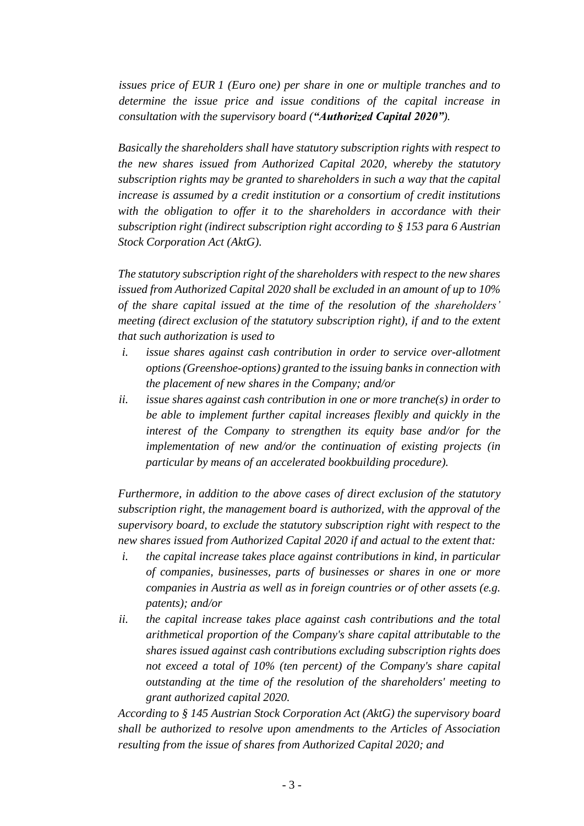*issues price of EUR 1 (Euro one) per share in one or multiple tranches and to determine the issue price and issue conditions of the capital increase in consultation with the supervisory board ("Authorized Capital 2020").*

*Basically the shareholders shall have statutory subscription rights with respect to the new shares issued from Authorized Capital 2020, whereby the statutory subscription rights may be granted to shareholders in such a way that the capital increase is assumed by a credit institution or a consortium of credit institutions with the obligation to offer it to the shareholders in accordance with their subscription right (indirect subscription right according to § 153 para 6 Austrian Stock Corporation Act (AktG).*

*The statutory subscription right of the shareholders with respect to the new shares issued from Authorized Capital 2020 shall be excluded in an amount of up to 10% of the share capital issued at the time of the resolution of the shareholders' meeting (direct exclusion of the statutory subscription right), if and to the extent that such authorization is used to*

- *i. issue shares against cash contribution in order to service over-allotment options (Greenshoe-options) granted to the issuing banks in connection with the placement of new shares in the Company; and/or*
- *ii. issue shares against cash contribution in one or more tranche(s) in order to be able to implement further capital increases flexibly and quickly in the interest of the Company to strengthen its equity base and/or for the implementation of new and/or the continuation of existing projects (in particular by means of an accelerated bookbuilding procedure).*

*Furthermore, in addition to the above cases of direct exclusion of the statutory subscription right, the management board is authorized, with the approval of the supervisory board, to exclude the statutory subscription right with respect to the new shares issued from Authorized Capital 2020 if and actual to the extent that:*

- *i. the capital increase takes place against contributions in kind, in particular of companies, businesses, parts of businesses or shares in one or more companies in Austria as well as in foreign countries or of other assets (e.g. patents); and/or*
- *ii. the capital increase takes place against cash contributions and the total arithmetical proportion of the Company's share capital attributable to the shares issued against cash contributions excluding subscription rights does not exceed a total of 10% (ten percent) of the Company's share capital outstanding at the time of the resolution of the shareholders' meeting to grant authorized capital 2020.*

*According to § 145 Austrian Stock Corporation Act (AktG) the supervisory board shall be authorized to resolve upon amendments to the Articles of Association resulting from the issue of shares from Authorized Capital 2020; and*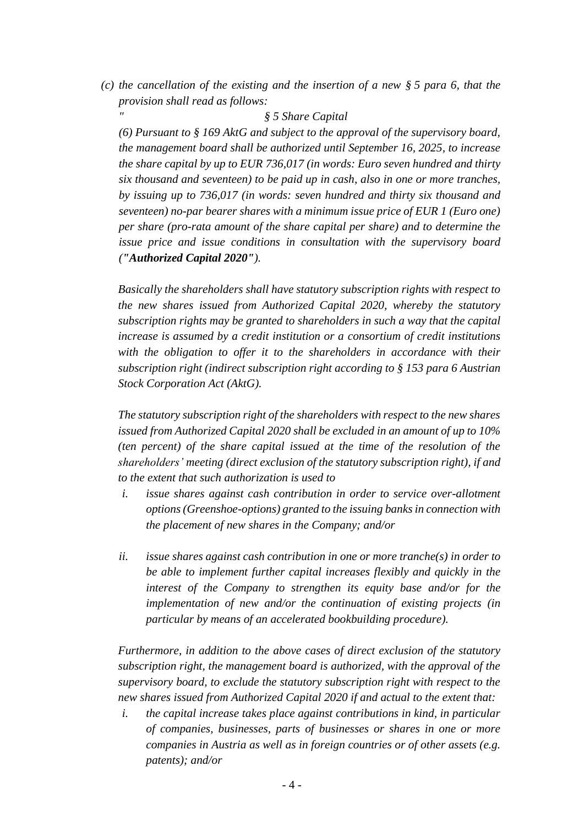*(c) the cancellation of the existing and the insertion of a new § 5 para 6, that the provision shall read as follows:*

## *" § 5 Share Capital*

*(6) Pursuant to § 169 AktG and subject to the approval of the supervisory board, the management board shall be authorized until September 16, 2025, to increase the share capital by up to EUR 736,017 (in words: Euro seven hundred and thirty six thousand and seventeen) to be paid up in cash, also in one or more tranches, by issuing up to 736,017 (in words: seven hundred and thirty six thousand and seventeen) no-par bearer shares with a minimum issue price of EUR 1 (Euro one) per share (pro-rata amount of the share capital per share) and to determine the issue price and issue conditions in consultation with the supervisory board ("Authorized Capital 2020").*

*Basically the shareholders shall have statutory subscription rights with respect to the new shares issued from Authorized Capital 2020, whereby the statutory subscription rights may be granted to shareholders in such a way that the capital increase is assumed by a credit institution or a consortium of credit institutions with the obligation to offer it to the shareholders in accordance with their subscription right (indirect subscription right according to § 153 para 6 Austrian Stock Corporation Act (AktG).*

*The statutory subscription right of the shareholders with respect to the new shares issued from Authorized Capital 2020 shall be excluded in an amount of up to 10% (ten percent) of the share capital issued at the time of the resolution of the shareholders' meeting (direct exclusion of the statutory subscription right), if and to the extent that such authorization is used to*

- *i. issue shares against cash contribution in order to service over-allotment options (Greenshoe-options) granted to the issuing banks in connection with the placement of new shares in the Company; and/or*
- *ii. issue shares against cash contribution in one or more tranche(s) in order to be able to implement further capital increases flexibly and quickly in the interest of the Company to strengthen its equity base and/or for the implementation of new and/or the continuation of existing projects (in particular by means of an accelerated bookbuilding procedure).*

*Furthermore, in addition to the above cases of direct exclusion of the statutory subscription right, the management board is authorized, with the approval of the supervisory board, to exclude the statutory subscription right with respect to the new shares issued from Authorized Capital 2020 if and actual to the extent that:*

*i. the capital increase takes place against contributions in kind, in particular of companies, businesses, parts of businesses or shares in one or more companies in Austria as well as in foreign countries or of other assets (e.g. patents); and/or*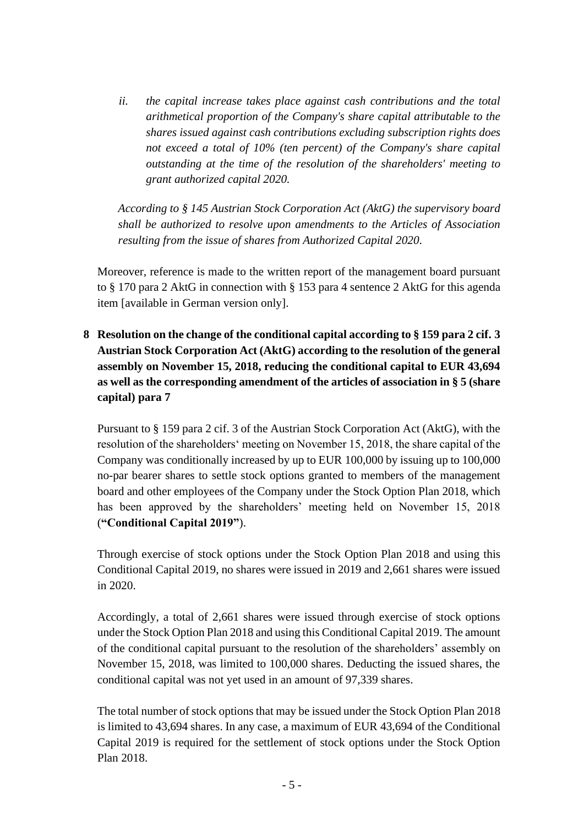*ii. the capital increase takes place against cash contributions and the total arithmetical proportion of the Company's share capital attributable to the shares issued against cash contributions excluding subscription rights does not exceed a total of 10% (ten percent) of the Company's share capital outstanding at the time of the resolution of the shareholders' meeting to grant authorized capital 2020.*

*According to § 145 Austrian Stock Corporation Act (AktG) the supervisory board shall be authorized to resolve upon amendments to the Articles of Association resulting from the issue of shares from Authorized Capital 2020.*

Moreover, reference is made to the written report of the management board pursuant to § 170 para 2 AktG in connection with § 153 para 4 sentence 2 AktG for this agenda item [available in German version only].

**8 Resolution on the change of the conditional capital according to § 159 para 2 cif. 3 Austrian Stock Corporation Act (AktG) according to the resolution of the general assembly on November 15, 2018, reducing the conditional capital to EUR 43,694 as well as the corresponding amendment of the articles of association in § 5 (share capital) para 7**

Pursuant to § 159 para 2 cif. 3 of the Austrian Stock Corporation Act (AktG), with the resolution of the shareholders' meeting on November 15, 2018, the share capital of the Company was conditionally increased by up to EUR 100,000 by issuing up to 100,000 no-par bearer shares to settle stock options granted to members of the management board and other employees of the Company under the Stock Option Plan 2018, which has been approved by the shareholders' meeting held on November 15, 2018 (**"Conditional Capital 2019"**).

Through exercise of stock options under the Stock Option Plan 2018 and using this Conditional Capital 2019, no shares were issued in 2019 and 2,661 shares were issued in 2020.

Accordingly, a total of 2,661 shares were issued through exercise of stock options under the Stock Option Plan 2018 and using this Conditional Capital 2019. The amount of the conditional capital pursuant to the resolution of the shareholders' assembly on November 15, 2018, was limited to 100,000 shares. Deducting the issued shares, the conditional capital was not yet used in an amount of 97,339 shares.

The total number of stock options that may be issued under the Stock Option Plan 2018 is limited to 43,694 shares. In any case, a maximum of EUR 43,694 of the Conditional Capital 2019 is required for the settlement of stock options under the Stock Option Plan 2018.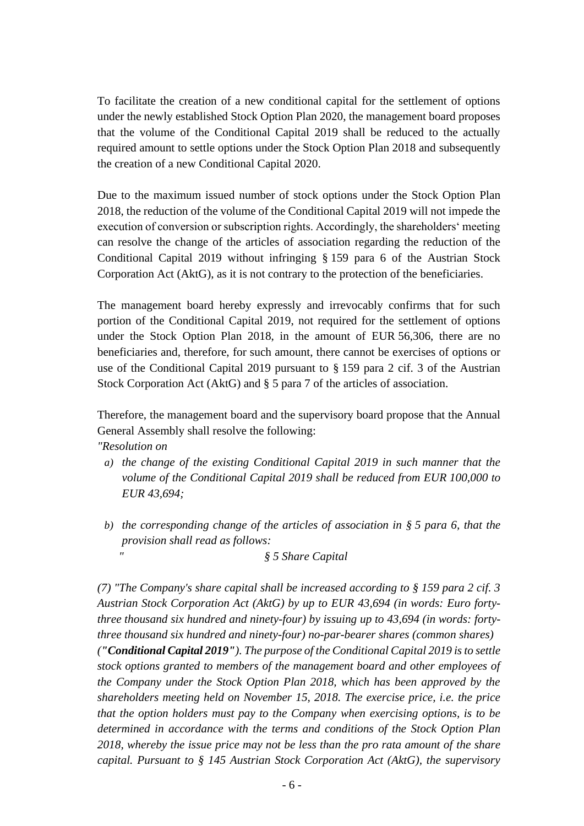To facilitate the creation of a new conditional capital for the settlement of options under the newly established Stock Option Plan 2020, the management board proposes that the volume of the Conditional Capital 2019 shall be reduced to the actually required amount to settle options under the Stock Option Plan 2018 and subsequently the creation of a new Conditional Capital 2020.

Due to the maximum issued number of stock options under the Stock Option Plan 2018, the reduction of the volume of the Conditional Capital 2019 will not impede the execution of conversion or subscription rights. Accordingly, the shareholders' meeting can resolve the change of the articles of association regarding the reduction of the Conditional Capital 2019 without infringing § 159 para 6 of the Austrian Stock Corporation Act (AktG), as it is not contrary to the protection of the beneficiaries.

The management board hereby expressly and irrevocably confirms that for such portion of the Conditional Capital 2019, not required for the settlement of options under the Stock Option Plan 2018, in the amount of EUR 56,306, there are no beneficiaries and, therefore, for such amount, there cannot be exercises of options or use of the Conditional Capital 2019 pursuant to § 159 para 2 cif. 3 of the Austrian Stock Corporation Act (AktG) and § 5 para 7 of the articles of association.

Therefore, the management board and the supervisory board propose that the Annual General Assembly shall resolve the following:

*"Resolution on*

- *a) the change of the existing Conditional Capital 2019 in such manner that the volume of the Conditional Capital 2019 shall be reduced from EUR 100,000 to EUR 43,694;*
- *b) the corresponding change of the articles of association in § 5 para 6, that the provision shall read as follows:*

*" § 5 Share Capital*

*(7) "The Company's share capital shall be increased according to § 159 para 2 cif. 3 Austrian Stock Corporation Act (AktG) by up to EUR 43,694 (in words: Euro fortythree thousand six hundred and ninety-four) by issuing up to 43,694 (in words: fortythree thousand six hundred and ninety-four) no-par-bearer shares (common shares) ("Conditional Capital 2019"). The purpose of the Conditional Capital 2019 is to settle stock options granted to members of the management board and other employees of the Company under the Stock Option Plan 2018, which has been approved by the shareholders meeting held on November 15, 2018. The exercise price, i.e. the price that the option holders must pay to the Company when exercising options, is to be determined in accordance with the terms and conditions of the Stock Option Plan 2018, whereby the issue price may not be less than the pro rata amount of the share capital. Pursuant to § 145 Austrian Stock Corporation Act (AktG), the supervisory*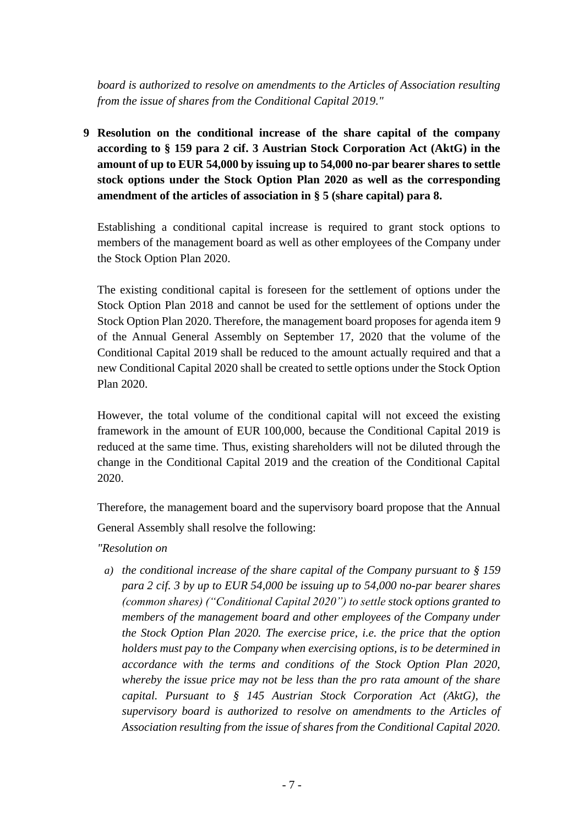*board is authorized to resolve on amendments to the Articles of Association resulting from the issue of shares from the Conditional Capital 2019."*

**9 Resolution on the conditional increase of the share capital of the company according to § 159 para 2 cif. 3 Austrian Stock Corporation Act (AktG) in the amount of up to EUR 54,000 by issuing up to 54,000 no-par bearer shares to settle stock options under the Stock Option Plan 2020 as well as the corresponding amendment of the articles of association in § 5 (share capital) para 8.**

Establishing a conditional capital increase is required to grant stock options to members of the management board as well as other employees of the Company under the Stock Option Plan 2020.

The existing conditional capital is foreseen for the settlement of options under the Stock Option Plan 2018 and cannot be used for the settlement of options under the Stock Option Plan 2020. Therefore, the management board proposes for agenda item 9 of the Annual General Assembly on September 17, 2020 that the volume of the Conditional Capital 2019 shall be reduced to the amount actually required and that a new Conditional Capital 2020 shall be created to settle options under the Stock Option Plan 2020.

However, the total volume of the conditional capital will not exceed the existing framework in the amount of EUR 100,000, because the Conditional Capital 2019 is reduced at the same time. Thus, existing shareholders will not be diluted through the change in the Conditional Capital 2019 and the creation of the Conditional Capital 2020.

Therefore, the management board and the supervisory board propose that the Annual General Assembly shall resolve the following:

*"Resolution on*

*a) the conditional increase of the share capital of the Company pursuant to § 159 para 2 cif. 3 by up to EUR 54,000 be issuing up to 54,000 no-par bearer shares (common shares) ("Conditional Capital 2020") to settle stock options granted to members of the management board and other employees of the Company under the Stock Option Plan 2020. The exercise price, i.e. the price that the option holders must pay to the Company when exercising options, is to be determined in accordance with the terms and conditions of the Stock Option Plan 2020, whereby the issue price may not be less than the pro rata amount of the share capital. Pursuant to § 145 Austrian Stock Corporation Act (AktG), the supervisory board is authorized to resolve on amendments to the Articles of Association resulting from the issue of shares from the Conditional Capital 2020.*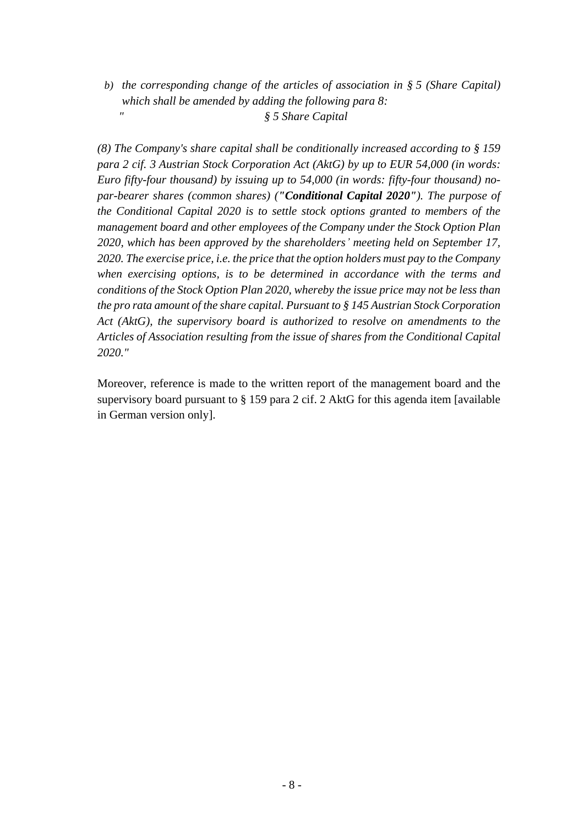*b) the corresponding change of the articles of association in § 5 (Share Capital) which shall be amended by adding the following para 8: " § 5 Share Capital*

*(8) The Company's share capital shall be conditionally increased according to § 159 para 2 cif. 3 Austrian Stock Corporation Act (AktG) by up to EUR 54,000 (in words: Euro fifty-four thousand) by issuing up to 54,000 (in words: fifty-four thousand) nopar-bearer shares (common shares) ("Conditional Capital 2020"). The purpose of the Conditional Capital 2020 is to settle stock options granted to members of the management board and other employees of the Company under the Stock Option Plan 2020, which has been approved by the shareholders' meeting held on September 17, 2020. The exercise price, i.e. the price that the option holders must pay to the Company when exercising options, is to be determined in accordance with the terms and conditions of the Stock Option Plan 2020, whereby the issue price may not be less than the pro rata amount of the share capital. Pursuant to § 145 Austrian Stock Corporation Act (AktG), the supervisory board is authorized to resolve on amendments to the Articles of Association resulting from the issue of shares from the Conditional Capital 2020."*

Moreover, reference is made to the written report of the management board and the supervisory board pursuant to § 159 para 2 cif. 2 AktG for this agenda item [available in German version only].